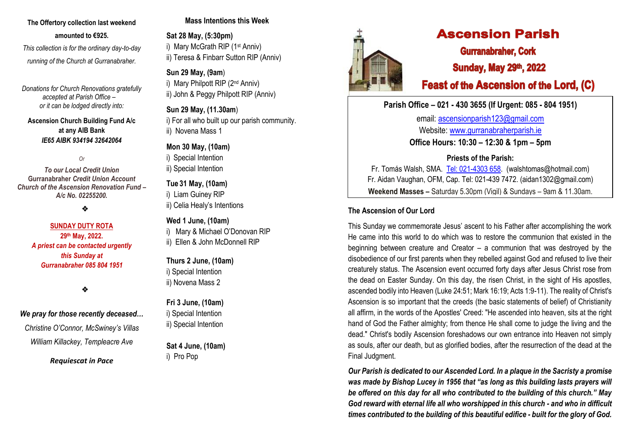## **The Offertory collection last weekend amounted to €925.**

 *This collection is for the ordinary day-to-day running of the Church at Gurranabraher.*

*Donations for Church Renovations gratefully accepted at Parish Office – or it can be lodged directly into:*

**Ascension Church Building Fund A/c at any AIB Bank**  *IE65 AIBK 934194 32642064*

*Or* 

*To our Local Credit Union* **Gurranabraher** *Credit Union Account Church of the Ascension Renovation Fund – A/c No. 02255200.*

❖

#### **SUNDAY DUTY ROTA 29 th May, 2022.** *A priest can be contacted urgently this Sunday at Gurranabraher 085 804 1951*

❖

#### *We pray for those recently deceased…*

*Christine O'Connor, McSwiney's Villas William Killackey, Templeacre Ave*

*Requiescat in Pace*

#### **Mass Intentions this Week**

**Sat 28 May, (5:30pm)** i) Mary McGrath RIP (1st Anniv) ii) Teresa & Finbarr Sutton RIP (Anniv)

#### **Sun 29 May, (9am**)

i) Mary Philpott RIP (2<sup>nd</sup> Anniv) ii) John & Peggy Philpott RIP (Anniv)

**Sun 29 May, (11.30am**) i) For all who built up our parish community.

ii) Novena Mass 1

## **Mon 30 May, (10am)**

i) Special Intention

ii) Special Intention

**Tue 31 May, (10am)**

i) Liam Guiney RIP ii) Celia Healy's Intentions

#### **Wed 1 June, (10am)**

i) Mary & Michael O'Donovan RIP

ii) Ellen & John McDonnell RIP

**Thurs 2 June, (10am)** i) Special Intention ii) Novena Mass 2

**Fri 3 June, (10am)** i) Special Intention ii) Special Intention

**Sat 4 June, (10am)** i) Pro Pop



# **Ascension Parish**

**Gurranabraher, Cork Sunday, May 29th, 2022** 

## **Feast of the Ascension of the Lord, (C)**

## **Parish Office – 021 - 430 3655 (If Urgent: 085 - 804 1951)**

email: [ascensionparish123@gmail.com](mailto:ascensionparish123@gmail.com) Website: [www.gurranabraherparish.ie](http://www.gurranabraherparish.ie/) **Office Hours: 10:30 – 12:30 & 1pm – 5pm**

**Priests of the Parish:**

Fr. Tomás Walsh, SMA. [Tel: 021-4303 658.](mailto:Tel:%20021-4303%20658) (walshtomas@hotmail.com) Fr. Aidan Vaughan, OFM, Cap. Tel: 021-439 7472. [\(aidan1302@gmail.com\)](mailto:aidan1302@gmail.com) **Weekend Masses –** Saturday 5.30pm (Vigil) & Sundays – 9am & 11.30am.

## **The Ascension of Our Lord**

This Sunday we commemorate Jesus' ascent to his Father after accomplishing the work He came into this world to do which was to restore the communion that existed in the beginning between creature and Creator – a communion that was destroyed by the disobedience of our first parents when they rebelled against God and refused to live their creaturely status. The Ascension event occurred forty days after Jesus Christ rose from the dead on Easter Sunday. On this day, the risen Christ, in the sight of His apostles, ascended bodily into Heaven (Luke 24:51; Mark 16:19; Acts 1:9-11). The reality of Christ's Ascension is so important that the creeds (the basic statements of belief) of Christianity all affirm, in the words of the Apostles' Creed: "He ascended into heaven, sits at the right hand of God the Father almighty; from thence He shall come to judge the living and the dead." Christ's bodily Ascension foreshadows our own entrance into Heaven not simply as souls, after our death, but as glorified bodies, after the resurrection of the dead at the Final Judgment.

*Our Parish is dedicated to our Ascended Lord. In a plaque in the Sacristy a promise was made by Bishop Lucey in 1956 that "as long as this building lasts prayers will be offered on this day for all who contributed to the building of this church." May God reward with eternal life all who worshipped in this church - and who in difficult times contributed to the building of this beautiful edifice - built for the glory of God.*